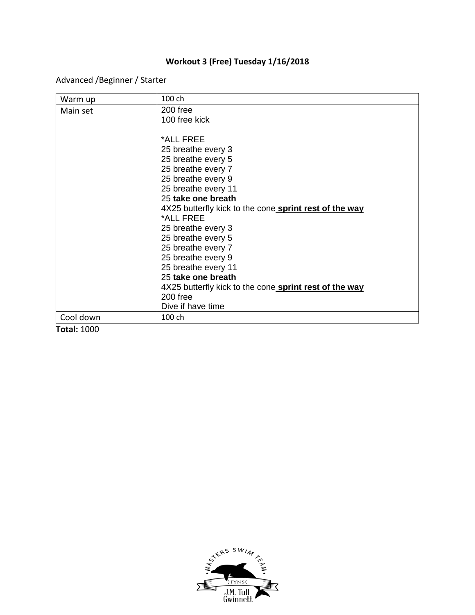## **Workout 3 (Free) Tuesday 1/16/2018**

Advanced /Beginner / Starter

| Warm up   | 100 ch                                                 |
|-----------|--------------------------------------------------------|
| Main set  | 200 free                                               |
|           | 100 free kick                                          |
|           |                                                        |
|           | *ALL FREE                                              |
|           | 25 breathe every 3                                     |
|           | 25 breathe every 5                                     |
|           | 25 breathe every 7                                     |
|           | 25 breathe every 9                                     |
|           | 25 breathe every 11                                    |
|           | 25 take one breath                                     |
|           | 4X25 butterfly kick to the cone sprint rest of the way |
|           | *ALL FREE                                              |
|           | 25 breathe every 3                                     |
|           | 25 breathe every 5                                     |
|           | 25 breathe every 7                                     |
|           | 25 breathe every 9                                     |
|           | 25 breathe every 11                                    |
|           | 25 take one breath                                     |
|           | 4X25 butterfly kick to the cone sprint rest of the way |
|           | 200 free                                               |
|           | Dive if have time                                      |
| Cool down | 100 ch                                                 |

**Total:** 1000